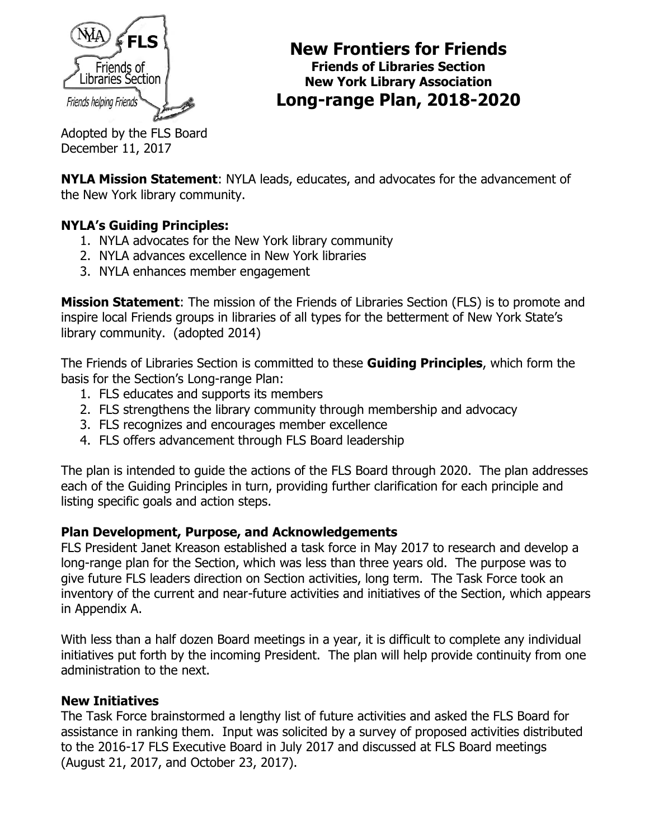

#### **New Frontiers for Friends Friends of Libraries Section New York Library Association Long-range Plan, 2018-2020**

Adopted by the FLS Board December 11, 2017

**NYLA Mission Statement**: NYLA leads, educates, and advocates for the advancement of the New York library community.

#### **NYLA's Guiding Principles:**

- 1. NYLA advocates for the New York library community
- 2. NYLA advances excellence in New York libraries
- 3. NYLA enhances member engagement

**Mission Statement**: The mission of the Friends of Libraries Section (FLS) is to promote and inspire local Friends groups in libraries of all types for the betterment of New York State's library community. (adopted 2014)

The Friends of Libraries Section is committed to these **Guiding Principles**, which form the basis for the Section's Long-range Plan:

- 1. FLS educates and supports its members
- 2. FLS strengthens the library community through membership and advocacy
- 3. FLS recognizes and encourages member excellence
- 4. FLS offers advancement through FLS Board leadership

The plan is intended to guide the actions of the FLS Board through 2020. The plan addresses each of the Guiding Principles in turn, providing further clarification for each principle and listing specific goals and action steps.

#### **Plan Development, Purpose, and Acknowledgements**

FLS President Janet Kreason established a task force in May 2017 to research and develop a long-range plan for the Section, which was less than three years old. The purpose was to give future FLS leaders direction on Section activities, long term. The Task Force took an inventory of the current and near-future activities and initiatives of the Section, which appears in Appendix A.

With less than a half dozen Board meetings in a year, it is difficult to complete any individual initiatives put forth by the incoming President. The plan will help provide continuity from one administration to the next.

#### **New Initiatives**

The Task Force brainstormed a lengthy list of future activities and asked the FLS Board for assistance in ranking them. Input was solicited by a survey of proposed activities distributed to the 2016-17 FLS Executive Board in July 2017 and discussed at FLS Board meetings (August 21, 2017, and October 23, 2017).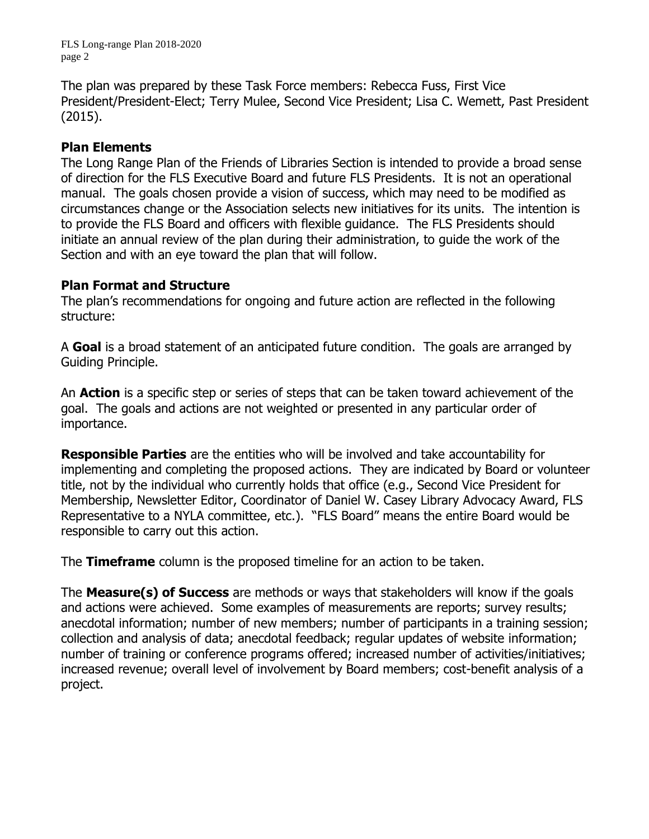FLS Long-range Plan 2018-2020 page 2

The plan was prepared by these Task Force members: Rebecca Fuss, First Vice President/President-Elect; Terry Mulee, Second Vice President; Lisa C. Wemett, Past President (2015).

#### **Plan Elements**

The Long Range Plan of the Friends of Libraries Section is intended to provide a broad sense of direction for the FLS Executive Board and future FLS Presidents. It is not an operational manual. The goals chosen provide a vision of success, which may need to be modified as circumstances change or the Association selects new initiatives for its units. The intention is to provide the FLS Board and officers with flexible guidance. The FLS Presidents should initiate an annual review of the plan during their administration, to guide the work of the Section and with an eye toward the plan that will follow.

#### **Plan Format and Structure**

The plan's recommendations for ongoing and future action are reflected in the following structure:

A **Goal** is a broad statement of an anticipated future condition. The goals are arranged by Guiding Principle.

An **Action** is a specific step or series of steps that can be taken toward achievement of the goal. The goals and actions are not weighted or presented in any particular order of importance.

**Responsible Parties** are the entities who will be involved and take accountability for implementing and completing the proposed actions. They are indicated by Board or volunteer title, not by the individual who currently holds that office (e.g., Second Vice President for Membership, Newsletter Editor, Coordinator of Daniel W. Casey Library Advocacy Award, FLS Representative to a NYLA committee, etc.). "FLS Board" means the entire Board would be responsible to carry out this action.

The **Timeframe** column is the proposed timeline for an action to be taken.

The **Measure(s) of Success** are methods or ways that stakeholders will know if the goals and actions were achieved. Some examples of measurements are reports; survey results; anecdotal information; number of new members; number of participants in a training session; collection and analysis of data; anecdotal feedback; regular updates of website information; number of training or conference programs offered; increased number of activities/initiatives; increased revenue; overall level of involvement by Board members; cost-benefit analysis of a project.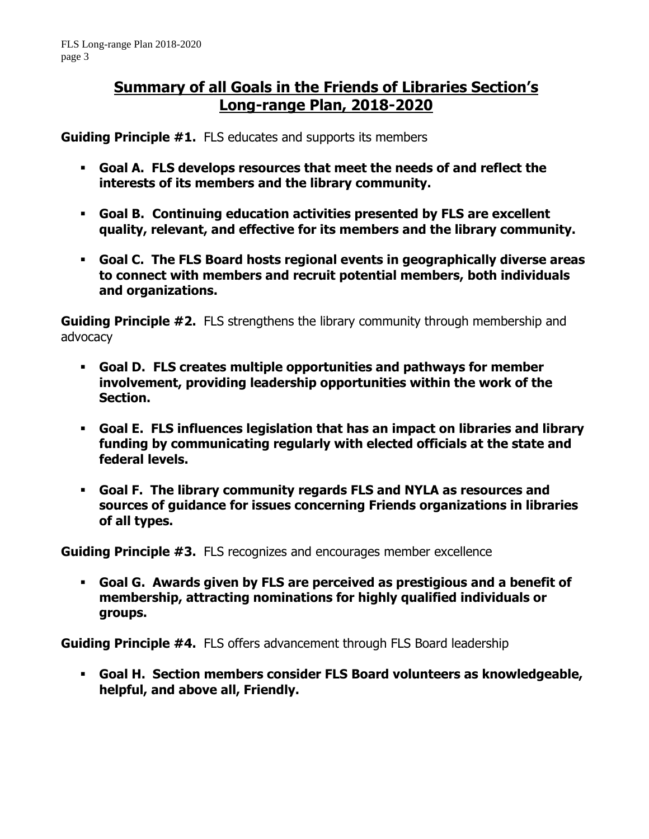#### **Summary of all Goals in the Friends of Libraries Section's Long-range Plan, 2018-2020**

**Guiding Principle #1.** FLS educates and supports its members

- **Goal A. FLS develops resources that meet the needs of and reflect the interests of its members and the library community.**
- **Goal B. Continuing education activities presented by FLS are excellent quality, relevant, and effective for its members and the library community.**
- **Goal C. The FLS Board hosts regional events in geographically diverse areas to connect with members and recruit potential members, both individuals and organizations.**

**Guiding Principle #2.** FLS strengthens the library community through membership and advocacy

- **Goal D. FLS creates multiple opportunities and pathways for member involvement, providing leadership opportunities within the work of the Section.**
- **Goal E. FLS influences legislation that has an impact on libraries and library funding by communicating regularly with elected officials at the state and federal levels.**
- **Goal F. The library community regards FLS and NYLA as resources and sources of guidance for issues concerning Friends organizations in libraries of all types.**

**Guiding Principle #3.** FLS recognizes and encourages member excellence

▪ **Goal G. Awards given by FLS are perceived as prestigious and a benefit of membership, attracting nominations for highly qualified individuals or groups.**

**Guiding Principle #4.** FLS offers advancement through FLS Board leadership

▪ **Goal H. Section members consider FLS Board volunteers as knowledgeable, helpful, and above all, Friendly.**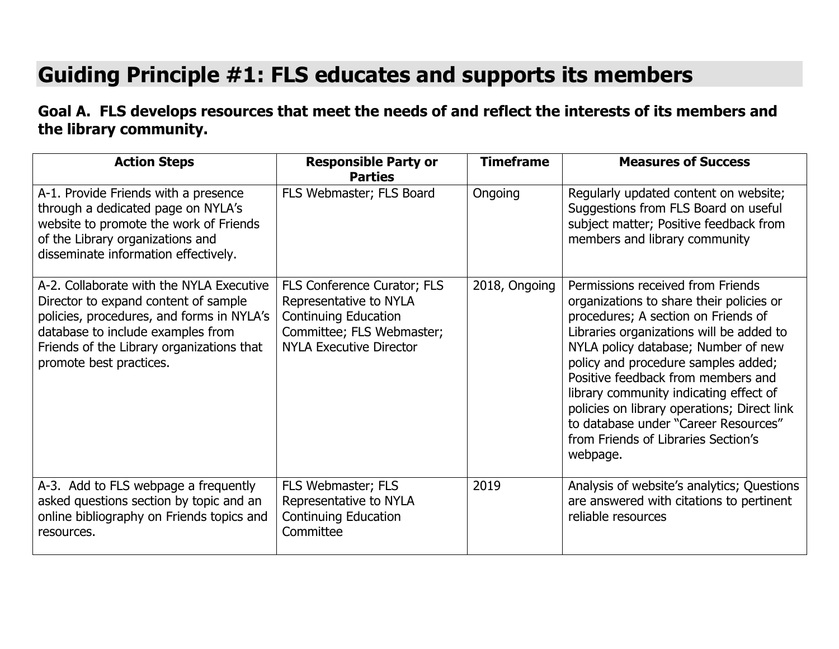# **Guiding Principle #1: FLS educates and supports its members**

## **Goal A. FLS develops resources that meet the needs of and reflect the interests of its members and the library community.**

| <b>Action Steps</b>                                                                                                                                                                                                                        | <b>Responsible Party or</b><br><b>Parties</b>                                                                                                       | <b>Timeframe</b> | <b>Measures of Success</b>                                                                                                                                                                                                                                                                                                                                                                                                                                               |
|--------------------------------------------------------------------------------------------------------------------------------------------------------------------------------------------------------------------------------------------|-----------------------------------------------------------------------------------------------------------------------------------------------------|------------------|--------------------------------------------------------------------------------------------------------------------------------------------------------------------------------------------------------------------------------------------------------------------------------------------------------------------------------------------------------------------------------------------------------------------------------------------------------------------------|
| A-1. Provide Friends with a presence<br>through a dedicated page on NYLA's<br>website to promote the work of Friends<br>of the Library organizations and<br>disseminate information effectively.                                           | FLS Webmaster; FLS Board                                                                                                                            | Ongoing          | Regularly updated content on website;<br>Suggestions from FLS Board on useful<br>subject matter; Positive feedback from<br>members and library community                                                                                                                                                                                                                                                                                                                 |
| A-2. Collaborate with the NYLA Executive<br>Director to expand content of sample<br>policies, procedures, and forms in NYLA's<br>database to include examples from<br>Friends of the Library organizations that<br>promote best practices. | FLS Conference Curator; FLS<br>Representative to NYLA<br><b>Continuing Education</b><br>Committee; FLS Webmaster;<br><b>NYLA Executive Director</b> | 2018, Ongoing    | Permissions received from Friends<br>organizations to share their policies or<br>procedures; A section on Friends of<br>Libraries organizations will be added to<br>NYLA policy database; Number of new<br>policy and procedure samples added;<br>Positive feedback from members and<br>library community indicating effect of<br>policies on library operations; Direct link<br>to database under "Career Resources"<br>from Friends of Libraries Section's<br>webpage. |
| A-3. Add to FLS webpage a frequently<br>asked questions section by topic and an<br>online bibliography on Friends topics and<br>resources.                                                                                                 | FLS Webmaster; FLS<br>Representative to NYLA<br><b>Continuing Education</b><br>Committee                                                            | 2019             | Analysis of website's analytics; Questions<br>are answered with citations to pertinent<br>reliable resources                                                                                                                                                                                                                                                                                                                                                             |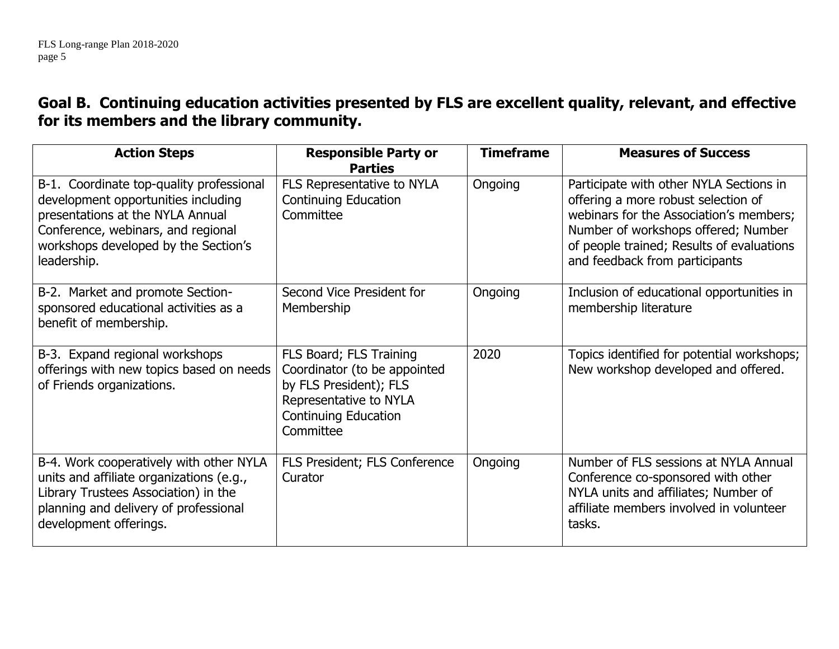### **Goal B. Continuing education activities presented by FLS are excellent quality, relevant, and effective for its members and the library community.**

| <b>Action Steps</b>                                                                                                                                                                                              | <b>Responsible Party or</b><br><b>Parties</b>                                                                                                           | <b>Timeframe</b> | <b>Measures of Success</b>                                                                                                                                                                                                                      |
|------------------------------------------------------------------------------------------------------------------------------------------------------------------------------------------------------------------|---------------------------------------------------------------------------------------------------------------------------------------------------------|------------------|-------------------------------------------------------------------------------------------------------------------------------------------------------------------------------------------------------------------------------------------------|
| B-1. Coordinate top-quality professional<br>development opportunities including<br>presentations at the NYLA Annual<br>Conference, webinars, and regional<br>workshops developed by the Section's<br>leadership. | FLS Representative to NYLA<br><b>Continuing Education</b><br>Committee                                                                                  | Ongoing          | Participate with other NYLA Sections in<br>offering a more robust selection of<br>webinars for the Association's members;<br>Number of workshops offered; Number<br>of people trained; Results of evaluations<br>and feedback from participants |
| B-2. Market and promote Section-<br>sponsored educational activities as a<br>benefit of membership.                                                                                                              | Second Vice President for<br>Membership                                                                                                                 | Ongoing          | Inclusion of educational opportunities in<br>membership literature                                                                                                                                                                              |
| B-3. Expand regional workshops<br>offerings with new topics based on needs<br>of Friends organizations.                                                                                                          | FLS Board; FLS Training<br>Coordinator (to be appointed<br>by FLS President); FLS<br>Representative to NYLA<br><b>Continuing Education</b><br>Committee | 2020             | Topics identified for potential workshops;<br>New workshop developed and offered.                                                                                                                                                               |
| B-4. Work cooperatively with other NYLA<br>units and affiliate organizations (e.g.,<br>Library Trustees Association) in the<br>planning and delivery of professional<br>development offerings.                   | FLS President; FLS Conference<br>Curator                                                                                                                | Ongoing          | Number of FLS sessions at NYLA Annual<br>Conference co-sponsored with other<br>NYLA units and affiliates; Number of<br>affiliate members involved in volunteer<br>tasks.                                                                        |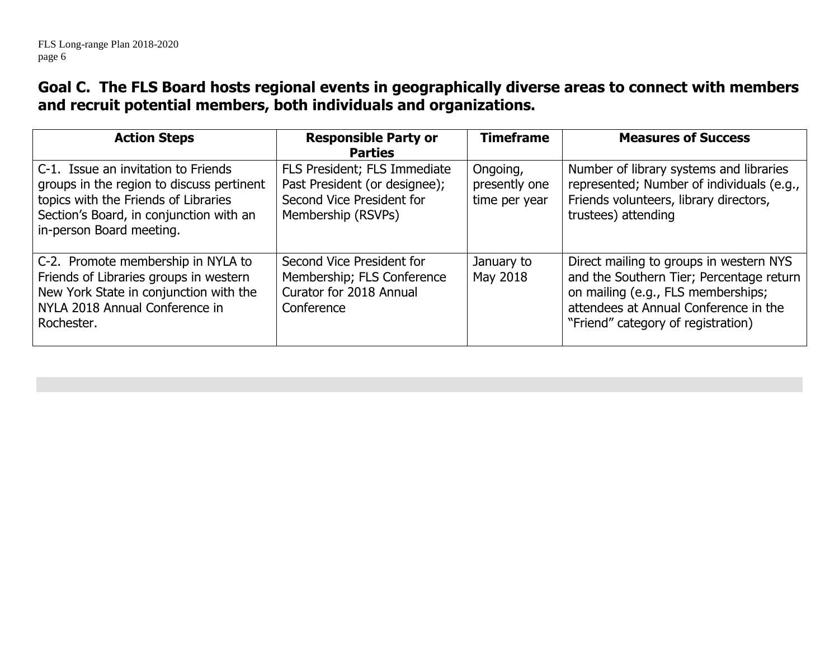### **Goal C. The FLS Board hosts regional events in geographically diverse areas to connect with members and recruit potential members, both individuals and organizations.**

| <b>Action Steps</b>                                                                                                                                                                             | <b>Responsible Party or</b><br><b>Parties</b>                                                                    | <b>Timeframe</b>                           | <b>Measures of Success</b>                                                                                                                                                                               |
|-------------------------------------------------------------------------------------------------------------------------------------------------------------------------------------------------|------------------------------------------------------------------------------------------------------------------|--------------------------------------------|----------------------------------------------------------------------------------------------------------------------------------------------------------------------------------------------------------|
| C-1. Issue an invitation to Friends<br>groups in the region to discuss pertinent<br>topics with the Friends of Libraries<br>Section's Board, in conjunction with an<br>in-person Board meeting. | FLS President; FLS Immediate<br>Past President (or designee);<br>Second Vice President for<br>Membership (RSVPs) | Ongoing,<br>presently one<br>time per year | Number of library systems and libraries<br>represented; Number of individuals (e.g.,<br>Friends volunteers, library directors,<br>trustees) attending                                                    |
| C-2. Promote membership in NYLA to<br>Friends of Libraries groups in western<br>New York State in conjunction with the<br>NYLA 2018 Annual Conference in<br>Rochester.                          | Second Vice President for<br>Membership; FLS Conference<br>Curator for 2018 Annual<br>Conference                 | January to<br>May 2018                     | Direct mailing to groups in western NYS<br>and the Southern Tier; Percentage return<br>on mailing (e.g., FLS memberships;<br>attendees at Annual Conference in the<br>"Friend" category of registration) |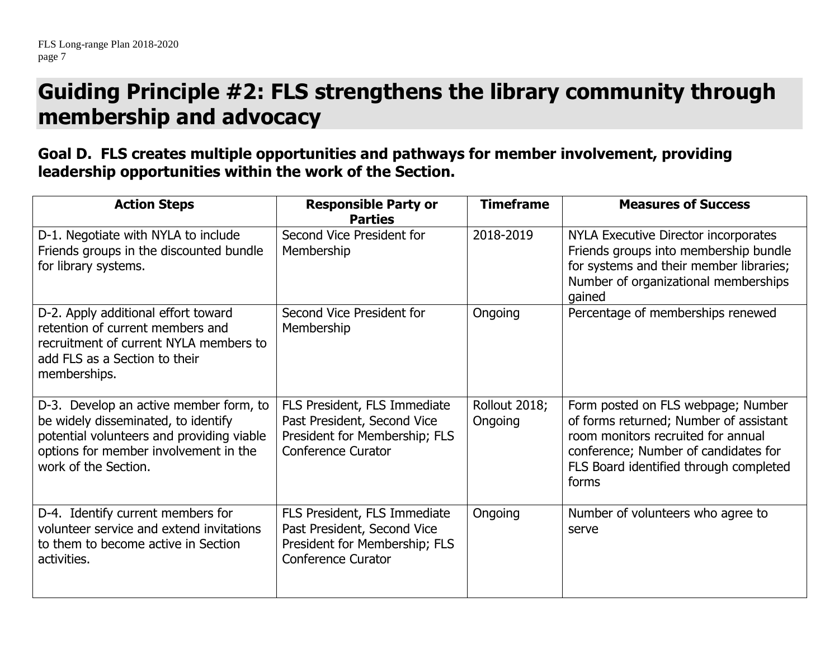## **Guiding Principle #2: FLS strengthens the library community through membership and advocacy**

### **Goal D. FLS creates multiple opportunities and pathways for member involvement, providing leadership opportunities within the work of the Section.**

| <b>Action Steps</b>                                                                                                                                                                         | <b>Responsible Party or</b><br><b>Parties</b>                                                                             | <b>Timeframe</b>         | <b>Measures of Success</b>                                                                                                                                                                                    |
|---------------------------------------------------------------------------------------------------------------------------------------------------------------------------------------------|---------------------------------------------------------------------------------------------------------------------------|--------------------------|---------------------------------------------------------------------------------------------------------------------------------------------------------------------------------------------------------------|
| D-1. Negotiate with NYLA to include<br>Friends groups in the discounted bundle<br>for library systems.                                                                                      | Second Vice President for<br>Membership                                                                                   | 2018-2019                | NYLA Executive Director incorporates<br>Friends groups into membership bundle<br>for systems and their member libraries;<br>Number of organizational memberships<br>gained                                    |
| D-2. Apply additional effort toward<br>retention of current members and<br>recruitment of current NYLA members to<br>add FLS as a Section to their<br>memberships.                          | Second Vice President for<br>Membership                                                                                   | Ongoing                  | Percentage of memberships renewed                                                                                                                                                                             |
| D-3. Develop an active member form, to<br>be widely disseminated, to identify<br>potential volunteers and providing viable<br>options for member involvement in the<br>work of the Section. | FLS President, FLS Immediate<br>Past President, Second Vice<br>President for Membership; FLS<br><b>Conference Curator</b> | Rollout 2018;<br>Ongoing | Form posted on FLS webpage; Number<br>of forms returned; Number of assistant<br>room monitors recruited for annual<br>conference; Number of candidates for<br>FLS Board identified through completed<br>forms |
| D-4. Identify current members for<br>volunteer service and extend invitations<br>to them to become active in Section<br>activities.                                                         | FLS President, FLS Immediate<br>Past President, Second Vice<br>President for Membership; FLS<br><b>Conference Curator</b> | Ongoing                  | Number of volunteers who agree to<br>serve                                                                                                                                                                    |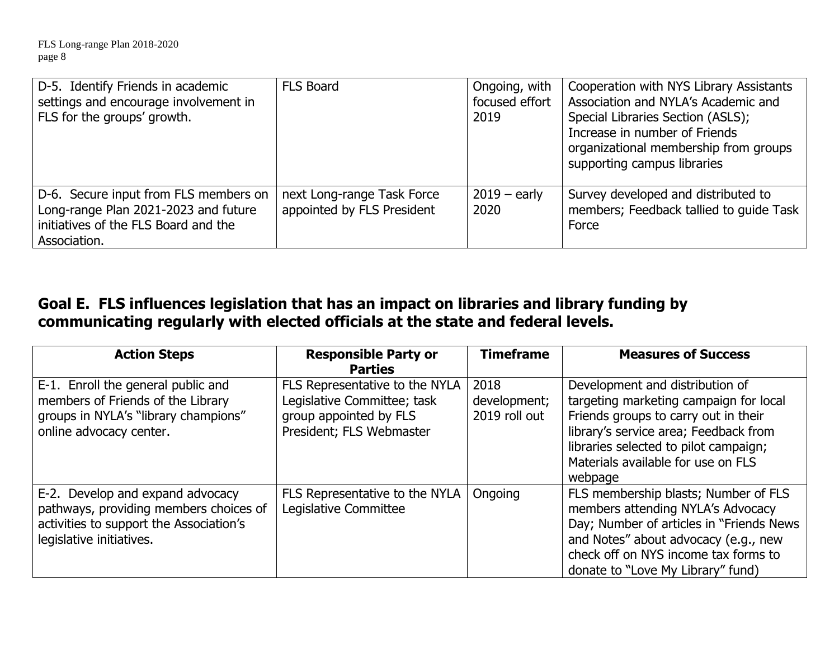| D-5. Identify Friends in academic<br>settings and encourage involvement in<br>  FLS for the groups' growth.                           | <b>FLS Board</b>                                         | Ongoing, with<br>focused effort<br>2019 | Cooperation with NYS Library Assistants<br>Association and NYLA's Academic and<br>Special Libraries Section (ASLS);<br>Increase in number of Friends<br>organizational membership from groups<br>supporting campus libraries |
|---------------------------------------------------------------------------------------------------------------------------------------|----------------------------------------------------------|-----------------------------------------|------------------------------------------------------------------------------------------------------------------------------------------------------------------------------------------------------------------------------|
| D-6. Secure input from FLS members on<br>Long-range Plan 2021-2023 and future<br>initiatives of the FLS Board and the<br>Association. | next Long-range Task Force<br>appointed by FLS President | $2019 -$ early<br>2020                  | Survey developed and distributed to<br>members; Feedback tallied to quide Task<br>Force                                                                                                                                      |

## **Goal E. FLS influences legislation that has an impact on libraries and library funding by communicating regularly with elected officials at the state and federal levels.**

| <b>Action Steps</b>                                                                                                                               | <b>Responsible Party or</b>                                                                                         | <b>Timeframe</b>                      | <b>Measures of Success</b>                                                                                                                                                                                                                           |
|---------------------------------------------------------------------------------------------------------------------------------------------------|---------------------------------------------------------------------------------------------------------------------|---------------------------------------|------------------------------------------------------------------------------------------------------------------------------------------------------------------------------------------------------------------------------------------------------|
|                                                                                                                                                   | <b>Parties</b>                                                                                                      |                                       |                                                                                                                                                                                                                                                      |
| E-1. Enroll the general public and<br>members of Friends of the Library<br>groups in NYLA's "library champions"<br>online advocacy center.        | FLS Representative to the NYLA<br>Legislative Committee; task<br>group appointed by FLS<br>President; FLS Webmaster | 2018<br>development;<br>2019 roll out | Development and distribution of<br>targeting marketing campaign for local<br>Friends groups to carry out in their<br>library's service area; Feedback from<br>libraries selected to pilot campaign;<br>Materials available for use on FLS<br>webpage |
| E-2. Develop and expand advocacy<br>pathways, providing members choices of<br>activities to support the Association's<br>legislative initiatives. | FLS Representative to the NYLA<br>Legislative Committee                                                             | Ongoing                               | FLS membership blasts; Number of FLS<br>members attending NYLA's Advocacy<br>Day; Number of articles in "Friends News"<br>and Notes" about advocacy (e.g., new<br>check off on NYS income tax forms to<br>donate to "Love My Library" fund)          |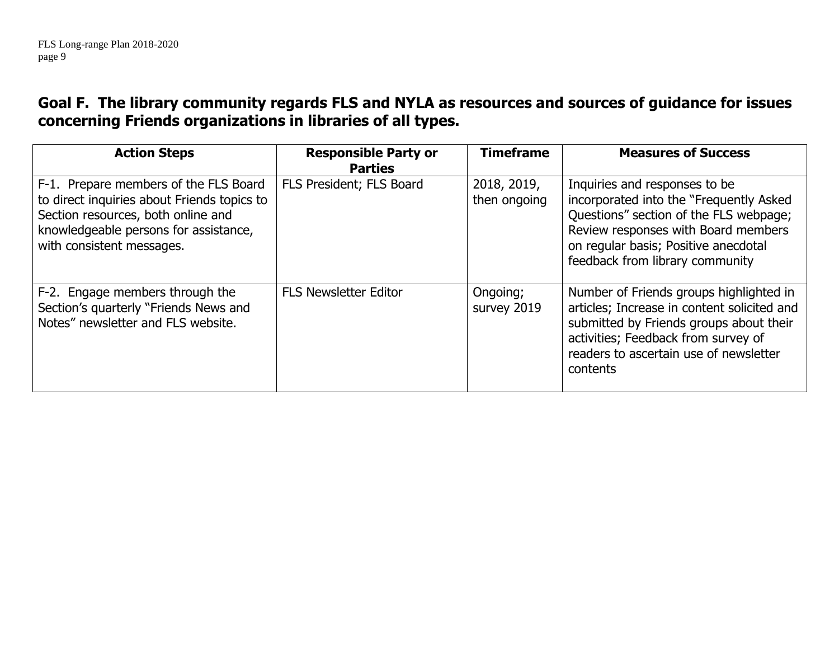### **Goal F. The library community regards FLS and NYLA as resources and sources of guidance for issues concerning Friends organizations in libraries of all types.**

| <b>Action Steps</b>                                                                                                                                                                              | <b>Responsible Party or</b><br><b>Parties</b> | <b>Timeframe</b>            | <b>Measures of Success</b>                                                                                                                                                                                                           |
|--------------------------------------------------------------------------------------------------------------------------------------------------------------------------------------------------|-----------------------------------------------|-----------------------------|--------------------------------------------------------------------------------------------------------------------------------------------------------------------------------------------------------------------------------------|
| F-1. Prepare members of the FLS Board<br>to direct inquiries about Friends topics to<br>Section resources, both online and<br>knowledgeable persons for assistance,<br>with consistent messages. | FLS President; FLS Board                      | 2018, 2019,<br>then ongoing | Inquiries and responses to be<br>incorporated into the "Frequently Asked<br>Questions" section of the FLS webpage;<br>Review responses with Board members<br>on regular basis; Positive anecdotal<br>feedback from library community |
| F-2. Engage members through the<br>Section's quarterly "Friends News and<br>Notes" newsletter and FLS website.                                                                                   | <b>FLS Newsletter Editor</b>                  | Ongoing;<br>survey 2019     | Number of Friends groups highlighted in<br>articles; Increase in content solicited and<br>submitted by Friends groups about their<br>activities; Feedback from survey of<br>readers to ascertain use of newsletter<br>contents       |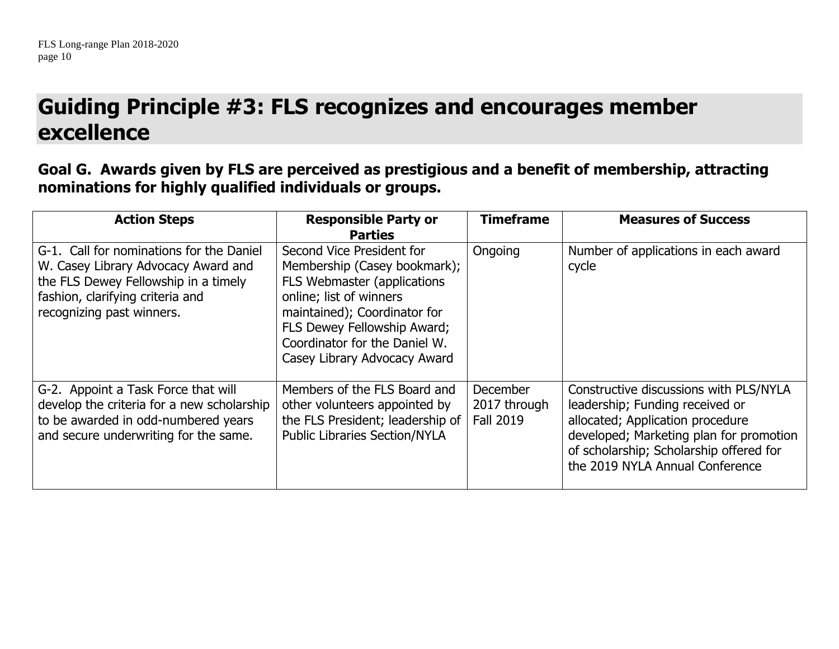## **Guiding Principle #3: FLS recognizes and encourages member excellence**

**Goal G. Awards given by FLS are perceived as prestigious and a benefit of membership, attracting nominations for highly qualified individuals or groups.**

| <b>Action Steps</b>                                                                                                                                                                      | <b>Responsible Party or</b><br><b>Parties</b>                                                                                                                                                                                                       | <b>Timeframe</b>                                    | <b>Measures of Success</b>                                                                                                                                                                                                             |
|------------------------------------------------------------------------------------------------------------------------------------------------------------------------------------------|-----------------------------------------------------------------------------------------------------------------------------------------------------------------------------------------------------------------------------------------------------|-----------------------------------------------------|----------------------------------------------------------------------------------------------------------------------------------------------------------------------------------------------------------------------------------------|
| G-1. Call for nominations for the Daniel<br>W. Casey Library Advocacy Award and<br>the FLS Dewey Fellowship in a timely<br>fashion, clarifying criteria and<br>recognizing past winners. | Second Vice President for<br>Membership (Casey bookmark);<br>FLS Webmaster (applications<br>online; list of winners<br>maintained); Coordinator for<br>FLS Dewey Fellowship Award;<br>Coordinator for the Daniel W.<br>Casey Library Advocacy Award | Ongoing                                             | Number of applications in each award<br>cycle                                                                                                                                                                                          |
| G-2. Appoint a Task Force that will<br>develop the criteria for a new scholarship<br>to be awarded in odd-numbered years<br>and secure underwriting for the same.                        | Members of the FLS Board and<br>other volunteers appointed by<br>the FLS President; leadership of<br><b>Public Libraries Section/NYLA</b>                                                                                                           | <b>December</b><br>2017 through<br><b>Fall 2019</b> | Constructive discussions with PLS/NYLA<br>leadership; Funding received or<br>allocated; Application procedure<br>developed; Marketing plan for promotion<br>of scholarship; Scholarship offered for<br>the 2019 NYLA Annual Conference |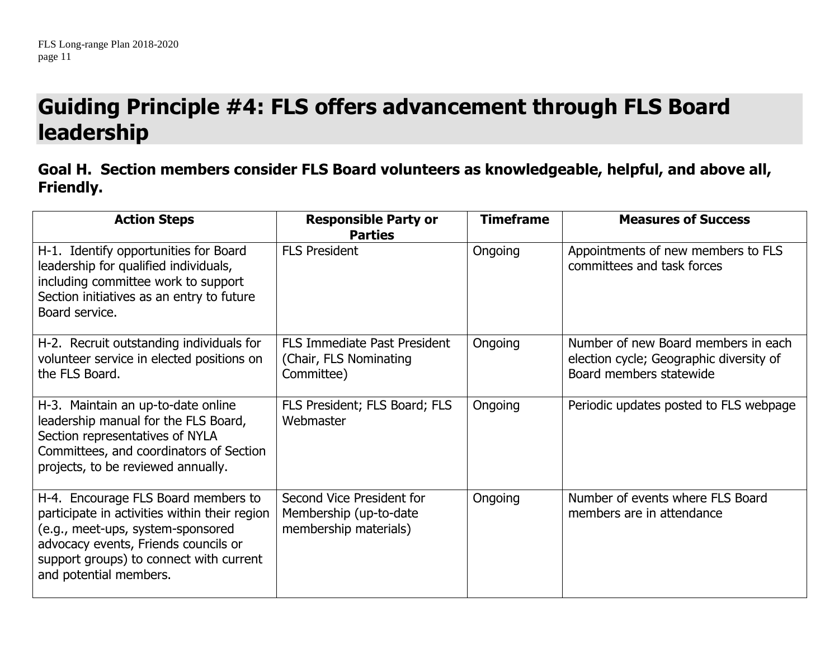## **Guiding Principle #4: FLS offers advancement through FLS Board leadership**

#### **Goal H. Section members consider FLS Board volunteers as knowledgeable, helpful, and above all, Friendly.**

| <b>Action Steps</b>                                                                                                                                                                                                                    | <b>Responsible Party or</b><br><b>Parties</b>                                | <b>Timeframe</b> | <b>Measures of Success</b>                                                                                |
|----------------------------------------------------------------------------------------------------------------------------------------------------------------------------------------------------------------------------------------|------------------------------------------------------------------------------|------------------|-----------------------------------------------------------------------------------------------------------|
| H-1. Identify opportunities for Board<br>leadership for qualified individuals,<br>including committee work to support<br>Section initiatives as an entry to future<br>Board service.                                                   | <b>FLS President</b>                                                         | Ongoing          | Appointments of new members to FLS<br>committees and task forces                                          |
| H-2. Recruit outstanding individuals for<br>volunteer service in elected positions on<br>the FLS Board.                                                                                                                                | <b>FLS Immediate Past President</b><br>(Chair, FLS Nominating)<br>Committee) | Ongoing          | Number of new Board members in each<br>election cycle; Geographic diversity of<br>Board members statewide |
| H-3. Maintain an up-to-date online<br>leadership manual for the FLS Board,<br>Section representatives of NYLA<br>Committees, and coordinators of Section<br>projects, to be reviewed annually.                                         | FLS President; FLS Board; FLS<br>Webmaster                                   | Ongoing          | Periodic updates posted to FLS webpage                                                                    |
| H-4. Encourage FLS Board members to<br>participate in activities within their region<br>(e.g., meet-ups, system-sponsored<br>advocacy events, Friends councils or<br>support groups) to connect with current<br>and potential members. | Second Vice President for<br>Membership (up-to-date<br>membership materials) | Ongoing          | Number of events where FLS Board<br>members are in attendance                                             |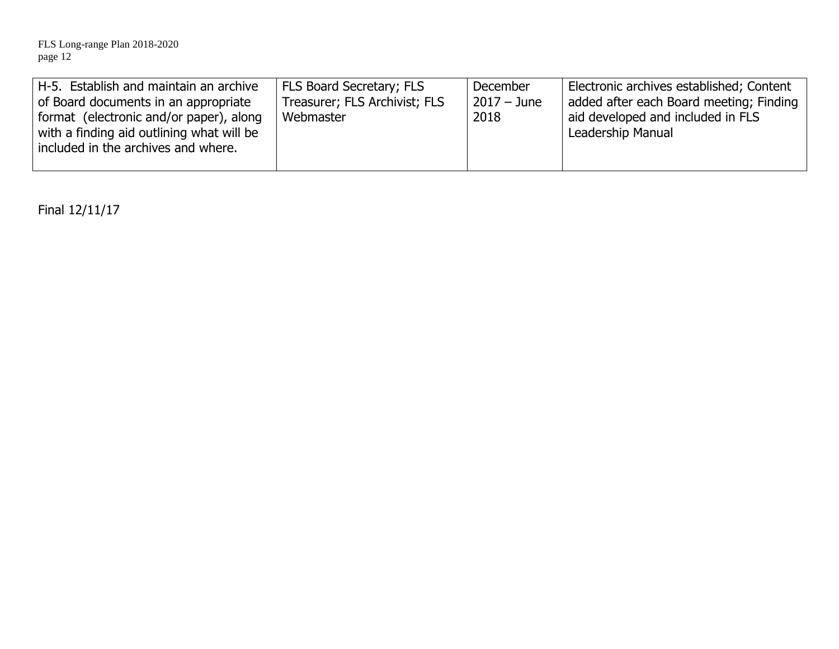| H-5. Establish and maintain an archive    | FLS Board Secretary; FLS      | December    | Electronic archives established; Content |
|-------------------------------------------|-------------------------------|-------------|------------------------------------------|
| of Board documents in an appropriate      | Treasurer; FLS Archivist; FLS | 2017 – June | added after each Board meeting; Finding  |
| format (electronic and/or paper), along   | Webmaster                     | 2018        | aid developed and included in FLS        |
| with a finding aid outlining what will be |                               |             | Leadership Manual                        |
| included in the archives and where.       |                               |             |                                          |
|                                           |                               |             |                                          |

Final 12/11/17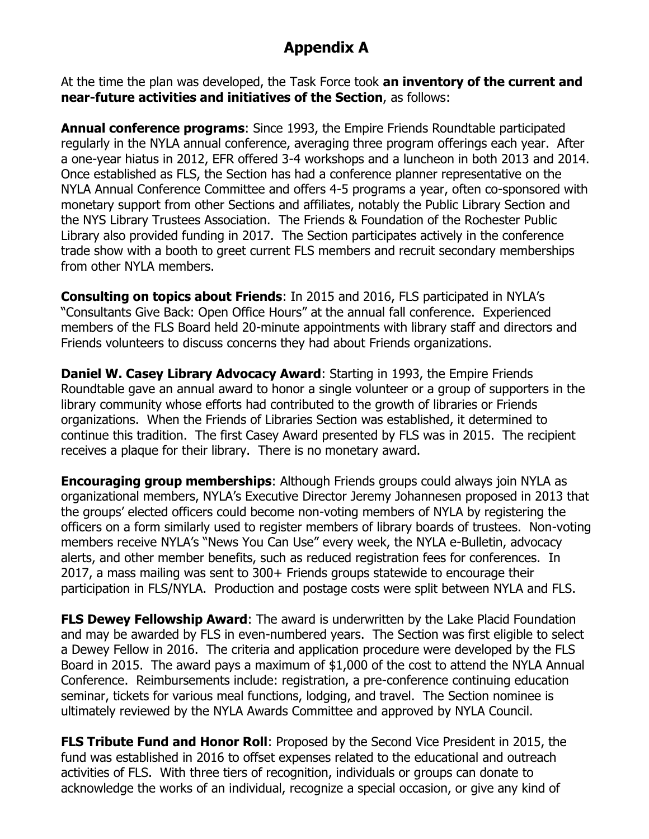## **Appendix A**

At the time the plan was developed, the Task Force took **an inventory of the current and near-future activities and initiatives of the Section**, as follows:

**Annual conference programs**: Since 1993, the Empire Friends Roundtable participated regularly in the NYLA annual conference, averaging three program offerings each year. After a one-year hiatus in 2012, EFR offered 3-4 workshops and a luncheon in both 2013 and 2014. Once established as FLS, the Section has had a conference planner representative on the NYLA Annual Conference Committee and offers 4-5 programs a year, often co-sponsored with monetary support from other Sections and affiliates, notably the Public Library Section and the NYS Library Trustees Association. The Friends & Foundation of the Rochester Public Library also provided funding in 2017. The Section participates actively in the conference trade show with a booth to greet current FLS members and recruit secondary memberships from other NYLA members.

**Consulting on topics about Friends**: In 2015 and 2016, FLS participated in NYLA's "Consultants Give Back: Open Office Hours" at the annual fall conference. Experienced members of the FLS Board held 20-minute appointments with library staff and directors and Friends volunteers to discuss concerns they had about Friends organizations.

**Daniel W. Casey Library Advocacy Award**: Starting in 1993, the Empire Friends Roundtable gave an annual award to honor a single volunteer or a group of supporters in the library community whose efforts had contributed to the growth of libraries or Friends organizations. When the Friends of Libraries Section was established, it determined to continue this tradition. The first Casey Award presented by FLS was in 2015. The recipient receives a plaque for their library. There is no monetary award.

**Encouraging group memberships**: Although Friends groups could always join NYLA as organizational members, NYLA's Executive Director Jeremy Johannesen proposed in 2013 that the groups' elected officers could become non-voting members of NYLA by registering the officers on a form similarly used to register members of library boards of trustees. Non-voting members receive NYLA's "News You Can Use" every week, the NYLA e-Bulletin, advocacy alerts, and other member benefits, such as reduced registration fees for conferences. In 2017, a mass mailing was sent to 300+ Friends groups statewide to encourage their participation in FLS/NYLA. Production and postage costs were split between NYLA and FLS.

**FLS Dewey Fellowship Award:** The award is underwritten by the Lake Placid Foundation and may be awarded by FLS in even-numbered years. The Section was first eligible to select a Dewey Fellow in 2016. The criteria and application procedure were developed by the FLS Board in 2015. The award pays a maximum of \$1,000 of the cost to attend the NYLA Annual Conference. Reimbursements include: registration, a pre-conference continuing education seminar, tickets for various meal functions, lodging, and travel. The Section nominee is ultimately reviewed by the NYLA Awards Committee and approved by NYLA Council.

**FLS Tribute Fund and Honor Roll:** Proposed by the Second Vice President in 2015, the fund was established in 2016 to offset expenses related to the educational and outreach activities of FLS. With three tiers of recognition, individuals or groups can donate to acknowledge the works of an individual, recognize a special occasion, or give any kind of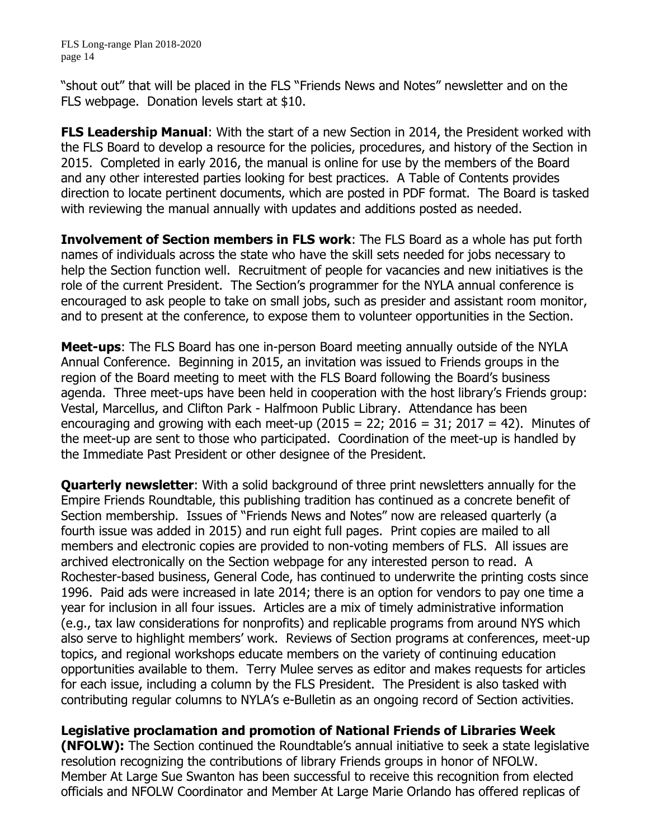FLS Long-range Plan 2018-2020 page 14

"shout out" that will be placed in the FLS "Friends News and Notes" newsletter and on the FLS webpage. Donation levels start at \$10.

**FLS Leadership Manual**: With the start of a new Section in 2014, the President worked with the FLS Board to develop a resource for the policies, procedures, and history of the Section in 2015. Completed in early 2016, the manual is online for use by the members of the Board and any other interested parties looking for best practices. A Table of Contents provides direction to locate pertinent documents, which are posted in PDF format. The Board is tasked with reviewing the manual annually with updates and additions posted as needed.

**Involvement of Section members in FLS work**: The FLS Board as a whole has put forth names of individuals across the state who have the skill sets needed for jobs necessary to help the Section function well. Recruitment of people for vacancies and new initiatives is the role of the current President. The Section's programmer for the NYLA annual conference is encouraged to ask people to take on small jobs, such as presider and assistant room monitor, and to present at the conference, to expose them to volunteer opportunities in the Section.

**Meet-ups**: The FLS Board has one in-person Board meeting annually outside of the NYLA Annual Conference. Beginning in 2015, an invitation was issued to Friends groups in the region of the Board meeting to meet with the FLS Board following the Board's business agenda. Three meet-ups have been held in cooperation with the host library's Friends group: Vestal, Marcellus, and Clifton Park - Halfmoon Public Library. Attendance has been encouraging and growing with each meet-up  $(2015 = 22; 2016 = 31; 2017 = 42)$ . Minutes of the meet-up are sent to those who participated. Coordination of the meet-up is handled by the Immediate Past President or other designee of the President.

**Quarterly newsletter:** With a solid background of three print newsletters annually for the Empire Friends Roundtable, this publishing tradition has continued as a concrete benefit of Section membership. Issues of "Friends News and Notes" now are released quarterly (a fourth issue was added in 2015) and run eight full pages. Print copies are mailed to all members and electronic copies are provided to non-voting members of FLS. All issues are archived electronically on the Section webpage for any interested person to read. A Rochester-based business, General Code, has continued to underwrite the printing costs since 1996. Paid ads were increased in late 2014; there is an option for vendors to pay one time a year for inclusion in all four issues. Articles are a mix of timely administrative information (e.g., tax law considerations for nonprofits) and replicable programs from around NYS which also serve to highlight members' work. Reviews of Section programs at conferences, meet-up topics, and regional workshops educate members on the variety of continuing education opportunities available to them. Terry Mulee serves as editor and makes requests for articles for each issue, including a column by the FLS President. The President is also tasked with contributing regular columns to NYLA's e-Bulletin as an ongoing record of Section activities.

**Legislative proclamation and promotion of National Friends of Libraries Week (NFOLW):** The Section continued the Roundtable's annual initiative to seek a state legislative resolution recognizing the contributions of library Friends groups in honor of NFOLW. Member At Large Sue Swanton has been successful to receive this recognition from elected officials and NFOLW Coordinator and Member At Large Marie Orlando has offered replicas of